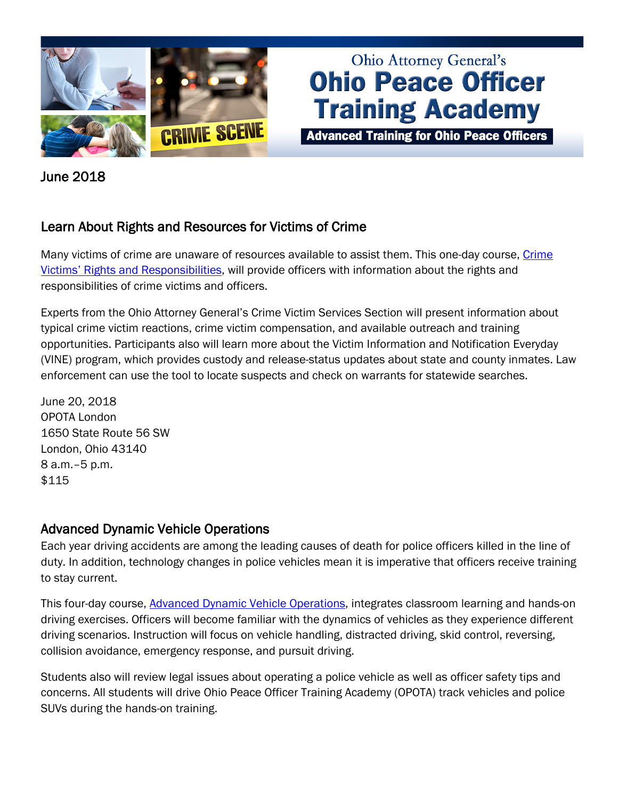

# **Ohio Attorney General's Ohio Peace Officer Training Academy**

**Advanced Training for Ohio Peace Officers** 

June 2018

### Learn About Rights and Resources for Victims of Crime

Many victims of crime are unaware of resources available to assist them. This one-day course, Crime [Victims' Rights and Responsibilities,](http://www.ohioattorneygeneral.gov/Law-Enforcement/Ohio-Peace-Officer-Training-Academy/Course-Catalog/Course-Categories/Human-Relations-Courses/Crime-Victims-Rights-and-Responsibilities) will provide officers with information about the rights and responsibilities of crime victims and officers.

Experts from the Ohio Attorney General's Crime Victim Services Section will present information about typical crime victim reactions, crime victim compensation, and available outreach and training opportunities. Participants also will learn more about the Victim Information and Notification Everyday (VINE) program, which provides custody and release-status updates about state and county inmates. Law enforcement can use the tool to locate suspects and check on warrants for statewide searches.

June 20, 2018 OPOTA London 1650 State Route 56 SW London, Ohio 43140 8 a.m.–5 p.m. \$115

#### Advanced Dynamic Vehicle Operations

Each year driving accidents are among the leading causes of death for police officers killed in the line of duty. In addition, technology changes in police vehicles mean it is imperative that officers receive training to stay current.

This four-day course, [Advanced Dynamic Vehicle Operations,](http://www.ohioattorneygeneral.gov/Law-Enforcement/Ohio-Peace-Officer-Training-Academy/Course-Catalog/Course-Categories/Driving-Courses/Advanced-Dynamic-Vehicle-Operations) integrates classroom learning and hands-on driving exercises. Officers will become familiar with the dynamics of vehicles as they experience different driving scenarios. Instruction will focus on vehicle handling, distracted driving, skid control, reversing, collision avoidance, emergency response, and pursuit driving.

Students also will review legal issues about operating a police vehicle as well as officer safety tips and concerns. All students will drive Ohio Peace Officer Training Academy (OPOTA) track vehicles and police SUVs during the hands-on training.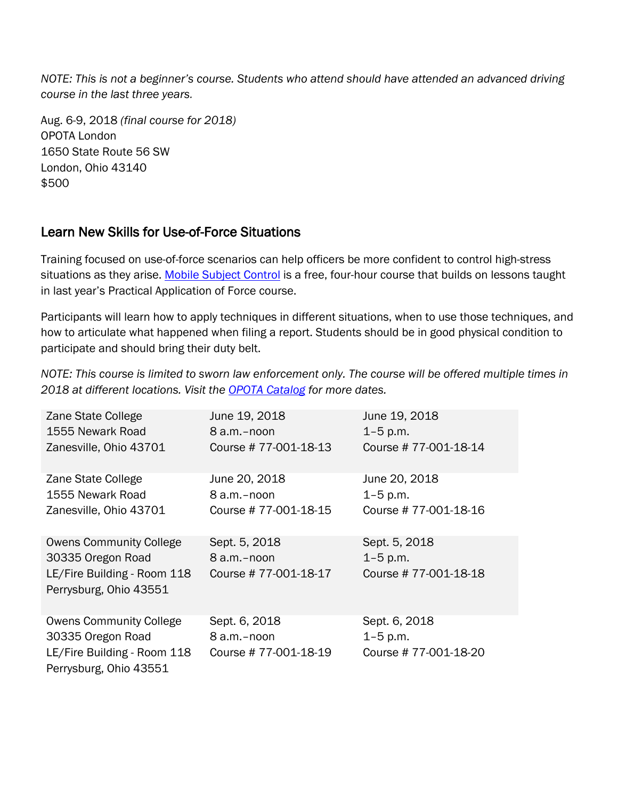*NOTE: This is not a beginner's course. Students who attend should have attended an advanced driving course in the last three years.*

Aug. 6-9, 2018 *(final course for 2018)* OPOTA London 1650 State Route 56 SW London, Ohio 43140 \$500

### Learn New Skills for Use-of-Force Situations

Training focused on use-of-force scenarios can help officers be more confident to control high-stress situations as they arise. [Mobile Subject Control](http://www.ohioattorneygeneral.gov/Law-Enforcement/Ohio-Peace-Officer-Training-Academy/Course-Catalog/Course-Categories/Subject-Control-Courses/Mobile-Subject-Control) is a free, four-hour course that builds on lessons taught in last year's Practical Application of Force course.

Participants will learn how to apply techniques in different situations, when to use those techniques, and how to articulate what happened when filing a report. Students should be in good physical condition to participate and should bring their duty belt.

*NOTE: This course is limited to sworn law enforcement only. The course will be offered multiple times in 2018 at different locations. Visit the [OPOTA Catalog](http://www.ohioattorneygeneral.gov/Law-Enforcement/Ohio-Peace-Officer-Training-Academy/Course-Catalog/Course-Categories/Subject-Control-Courses/Mobile-Subject-Control) for more dates.*

| Zane State College                                    | June 19, 2018        | June 19, 2018        |
|-------------------------------------------------------|----------------------|----------------------|
| 1555 Newark Road                                      | 8 a.m.-noon          | $1 - 5$ p.m.         |
| Zanesville, Ohio 43701                                | Course #77-001-18-13 | Course #77-001-18-14 |
| Zane State College                                    | June 20, 2018        | June 20, 2018        |
| 1555 Newark Road                                      | 8 a.m.-noon          | $1 - 5$ p.m.         |
| Zanesville, Ohio 43701                                | Course #77-001-18-15 | Course #77-001-18-16 |
|                                                       |                      |                      |
| <b>Owens Community College</b>                        | Sept. 5, 2018        | Sept. 5, 2018        |
| 30335 Oregon Road                                     | 8 a.m.-noon          | $1 - 5$ p.m.         |
| LE/Fire Building - Room 118<br>Perrysburg, Ohio 43551 | Course #77-001-18-17 | Course #77-001-18-18 |
| <b>Owens Community College</b>                        | Sept. 6, 2018        | Sept. 6, 2018        |
| 30335 Oregon Road                                     | 8 a.m.-noon          | $1 - 5$ p.m.         |
| LE/Fire Building - Room 118<br>Perrysburg, Ohio 43551 | Course #77-001-18-19 | Course #77-001-18-20 |